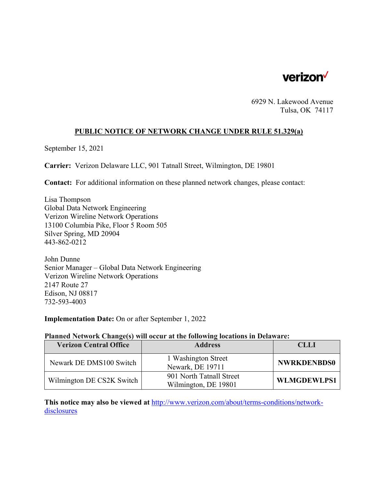

6929 N. Lakewood Avenue Tulsa, OK 74117

#### **PUBLIC NOTICE OF NETWORK CHANGE UNDER RULE 51.329(a)**

September 15, 2021

**Carrier:** Verizon Delaware LLC, 901 Tatnall Street, Wilmington, DE 19801

**Contact:** For additional information on these planned network changes, please contact:

Lisa Thompson Global Data Network Engineering Verizon Wireline Network Operations 13100 Columbia Pike, Floor 5 Room 505 Silver Spring, MD 20904 443-862-0212

John Dunne Senior Manager – Global Data Network Engineering Verizon Wireline Network Operations 2147 Route 27 Edison, NJ 08817 732-593-4003

**Implementation Date:** On or after September 1, 2022

#### **Planned Network Change(s) will occur at the following locations in Delaware:**

| <b>Verizon Central Office</b> | <b>Address</b>                                   | <b>CLLI</b>        |
|-------------------------------|--------------------------------------------------|--------------------|
| Newark DE DMS100 Switch       | 1 Washington Street<br>Newark, DE 19711          | <b>NWRKDENBDS0</b> |
| Wilmington DE CS2K Switch     | 901 North Tatnall Street<br>Wilmington, DE 19801 | <b>WLMGDEWLPS1</b> |

**This notice may also be viewed at** http://www.verizon.com/about/terms-conditions/networkdisclosures